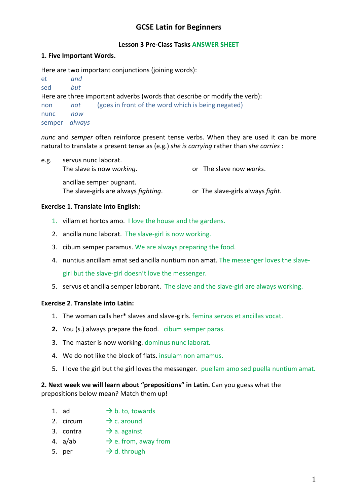# **GCSE Latin for Beginners**

## **Lesson 3 Pre-Class Tasks ANSWER SHEET**

### **1. Five Important Words.**

Here are two important conjunctions (joining words):

et *and* sed *but* Here are three important adverbs (words that describe or modify the verb): non *not* (goes in front of the word which is being negated) nunc *now* semper *always*

*nunc* and *semper* often reinforce present tense verbs. When they are used it can be more natural to translate a present tense as (e.g.) *she is carrying* rather than *she carries* :

| e.g. | servus nunc laborat.<br>The slave is now working.                        | or The slave now works.          |  |
|------|--------------------------------------------------------------------------|----------------------------------|--|
|      | ancillae semper pugnant.<br>The slave-girls are always <i>fighting</i> . | or The slave-girls always fight. |  |

### **Exercise 1**. **Translate into English:**

- 1. villam et hortos amo. I love the house and the gardens.
- 2. ancilla nunc laborat. The slave-girl is now working.
- 3. cibum semper paramus. We are always preparing the food.
- 4. nuntius ancillam amat sed ancilla nuntium non amat. The messenger loves the slavegirl but the slave-girl doesn't love the messenger.
- 5. servus et ancilla semper laborant. The slave and the slave-girl are always working.

#### **Exercise 2**. **Translate into Latin:**

- 1. The woman calls her\* slaves and slave-girls. femina servos et ancillas vocat.
- **2.** You (s.) always prepare the food. cibum semper paras.
- 3. The master is now working. dominus nunc laborat.
- 4. We do not like the block of flats. insulam non amamus.
- 5. I love the girl but the girl loves the messenger.puellam amo sed puella nuntium amat.

**2. Next week we will learn about "prepositions" in Latin.** Can you guess what the prepositions below mean? Match them up!

- 1. ad  $\rightarrow$  b. to, towards
- 2. circum  $\rightarrow$  c. around
- 3. contra  $\rightarrow$  a. against
- 4. a/ab  $\rightarrow$  e. from, away from
- 5. per  $\rightarrow$  d. through